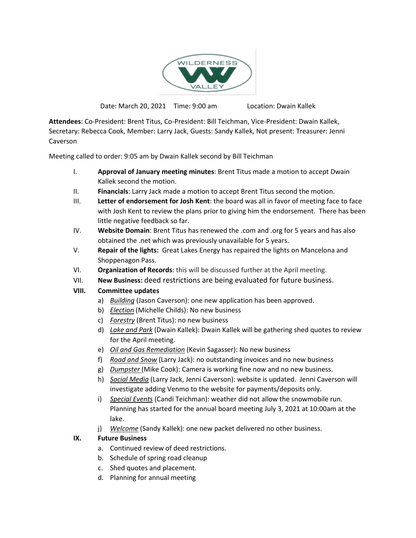

Date: March 20, 2021 Time: 9:00 am Location: Dwain Kallek

**Attendees**: Co-President: Brent Titus, Co-President: Bill Teichman, Vice-President: Dwain Kallek, Secretary: Rebecca Cook, Member: Larry Jack, Guests: Sandy Kallek, Not present: Treasurer: Jenni Caverson

Meeting called to order: 9:05 am by Dwain Kallek second by Bill Teichman

- I. **Approval of January meeting minutes**: Brent Titus made a motion to accept Dwain Kallek second the motion.
- II. **Financials**: Larry Jack made a motion to accept Brent Titus second the motion.
- III. **Letter of endorsement for Josh Kent**: the board was all in favor of meeting face to face with Josh Kent to review the plans prior to giving him the endorsement. There has been little negative feedback so far.
- IV. **Website Domain**: Brent Titus has renewed the .com and .org for 5 years and has also obtained the .net which was previously unavailable for 5 years.
- V. **Repair of the lights:** Great Lakes Energy has repaired the lights on Mancelona and Shoppenagon Pass.
- VI. **Organization of Records**: this will be discussed further at the April meeting.
- VII. **New Business:** deed restrictions are being evaluated for future business.

## **VIII. Committee updates**

- a) *Building* (Jason Caverson): one new application has been approved.
- b) *Election* (Michelle Childs): No new business
- c) *Forestry* (Brent Titus): no new business
- d) *Lake and Park* (Dwain Kallek): Dwain Kallek will be gathering shed quotes to review for the April meeting.
- e) *Oil and Gas Remediation* (Kevin Sagasser): No new business
- f) *Road and Snow* (Larry Jack): no outstanding invoices and no new business
- g) *Dumpster* (Mike Cook): Camera is working fine now and no new business.
- h) *Social Media* (Larry Jack, Jenni Caverson): website is updated. Jenni Caverson will investigate adding Venmo to the website for payments/deposits only.
- i) *Special Events* (Candi Teichman): weather did not allow the snowmobile run. Planning has started for the annual board meeting July 3, 2021 at 10:00am at the lake.
- j) *Welcome* (Sandy Kallek): one new packet delivered no other business.

## **IX. Future Business**

- a. Continued review of deed restrictions.
- b. Schedule of spring road cleanup
- c. Shed quotes and placement.
- d. Planning for annual meeting